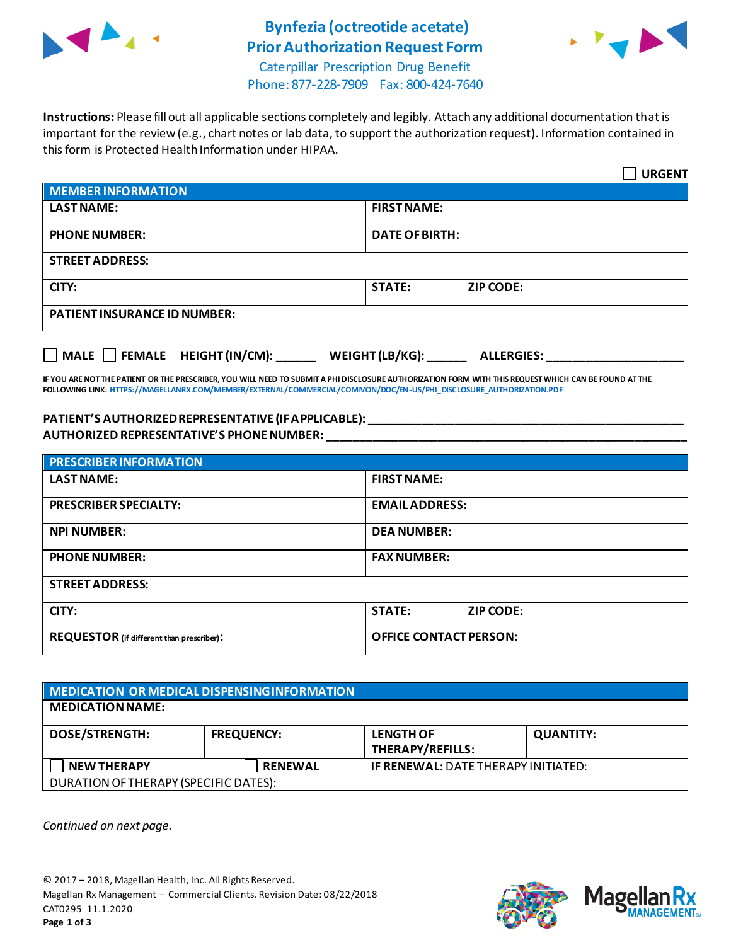

## **Bynfezia (octreotide acetate) Prior Authorization Request Form**



Caterpillar Prescription Drug Benefit Phone: 877-228-7909 Fax: 800-424-7640

**Instructions:** Please fill out all applicable sections completely and legibly. Attach any additional documentation that is important for the review (e.g., chart notes or lab data, to support the authorization request). Information contained in this form is Protected Health Information under HIPAA.

|                                                                      | <b>URGENT</b>                     |  |  |
|----------------------------------------------------------------------|-----------------------------------|--|--|
| MEMBER INFORMATION                                                   |                                   |  |  |
| <b>LAST NAME:</b>                                                    | <b>FIRST NAME:</b>                |  |  |
| <b>PHONE NUMBER:</b>                                                 | <b>DATE OF BIRTH:</b>             |  |  |
| <b>STREET ADDRESS:</b>                                               |                                   |  |  |
| CITY:                                                                | <b>STATE:</b><br><b>ZIP CODE:</b> |  |  |
| <b>PATIENT INSURANCE ID NUMBER:</b>                                  |                                   |  |  |
| MALE FEMALE HEIGHT (IN/CM): ______ WEIGHT (LB/KG): ______ ALLERGIES: |                                   |  |  |

**IF YOU ARE NOT THE PATIENT OR THE PRESCRIBER, YOU WILL NEED TO SUBMIT A PHI DISCLOSURE AUTHORIZATION FORM WITH THIS REQUEST WHICH CAN BE FOUND AT THE FOLLOWING LINK[: HTTPS://MAGELLANRX.COM/MEMBER/EXTERNAL/COMMERCIAL/COMMON/DOC/EN-US/PHI\\_DISCLOSURE\\_AUTHORIZATION.PDF](https://magellanrx.com/member/external/commercial/common/doc/en-us/PHI_Disclosure_Authorization.pdf)**

**PATIENT'S AUTHORIZED REPRESENTATIVE (IF APPLICABLE): \_\_\_\_\_\_\_\_\_\_\_\_\_\_\_\_\_\_\_\_\_\_\_\_\_\_\_\_\_\_\_\_\_\_\_\_\_\_\_\_\_\_\_\_\_\_\_\_ AUTHORIZED REPRESENTATIVE'S PHONE NUMBER: \_\_\_\_\_\_\_\_\_\_\_\_\_\_\_\_\_\_\_\_\_\_\_\_\_\_\_\_\_\_\_\_\_\_\_\_\_\_\_\_\_\_\_\_\_\_\_\_\_\_\_\_\_\_\_**

| <b>PRESCRIBER INFORMATION</b>             |                               |  |  |  |
|-------------------------------------------|-------------------------------|--|--|--|
| <b>LAST NAME:</b>                         | <b>FIRST NAME:</b>            |  |  |  |
| <b>PRESCRIBER SPECIALTY:</b>              | <b>EMAILADDRESS:</b>          |  |  |  |
| <b>NPI NUMBER:</b>                        | <b>DEA NUMBER:</b>            |  |  |  |
| <b>PHONE NUMBER:</b>                      | <b>FAX NUMBER:</b>            |  |  |  |
| <b>STREET ADDRESS:</b>                    |                               |  |  |  |
| CITY:                                     | <b>STATE:</b><br>ZIP CODE:    |  |  |  |
| REQUESTOR (if different than prescriber): | <b>OFFICE CONTACT PERSON:</b> |  |  |  |

| MEDICATION OR MEDICAL DISPENSING INFORMATION |                   |                                            |                  |  |  |
|----------------------------------------------|-------------------|--------------------------------------------|------------------|--|--|
| <b>MEDICATION NAME:</b>                      |                   |                                            |                  |  |  |
| <b>DOSE/STRENGTH:</b>                        | <b>FREQUENCY:</b> | <b>LENGTH OF</b><br>THERAPY/REFILLS:       | <b>QUANTITY:</b> |  |  |
| <b>NEW THERAPY</b>                           | <b>RENEWAL</b>    | <b>IF RENEWAL: DATE THERAPY INITIATED:</b> |                  |  |  |
| DURATION OF THERAPY (SPECIFIC DATES):        |                   |                                            |                  |  |  |

*Continued on next page.*



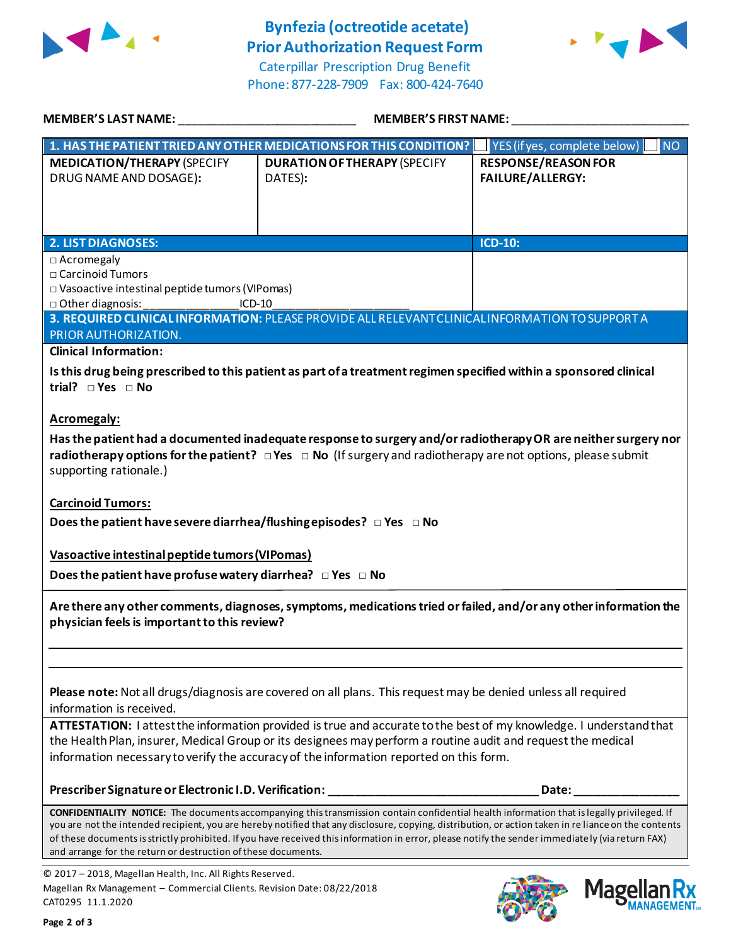

## **Bynfezia (octreotide acetate) Prior Authorization Request Form**

Caterpillar Prescription Drug Benefit Phone: 877-228-7909 Fax: 800-424-7640



| <b>MEMBER'S LAST NAME:</b>                                                                                                                                                                                                                                                                                           | <b>MEMBER'S FIRST NAME:</b>                                                                                                                                                                                                                                                                                                                                                                                                                                    |                                                       |  |  |
|----------------------------------------------------------------------------------------------------------------------------------------------------------------------------------------------------------------------------------------------------------------------------------------------------------------------|----------------------------------------------------------------------------------------------------------------------------------------------------------------------------------------------------------------------------------------------------------------------------------------------------------------------------------------------------------------------------------------------------------------------------------------------------------------|-------------------------------------------------------|--|--|
| 1. HAS THE PATIENT TRIED ANY OTHER MEDICATIONS FOR THIS CONDITION?<br>YES (if yes, complete below)<br>$\blacksquare$ NO                                                                                                                                                                                              |                                                                                                                                                                                                                                                                                                                                                                                                                                                                |                                                       |  |  |
| <b>MEDICATION/THERAPY (SPECIFY</b><br>DRUG NAME AND DOSAGE):                                                                                                                                                                                                                                                         | <b>DURATION OF THERAPY (SPECIFY</b><br>DATES):                                                                                                                                                                                                                                                                                                                                                                                                                 | <b>RESPONSE/REASON FOR</b><br><b>FAILURE/ALLERGY:</b> |  |  |
| <b>2. LIST DIAGNOSES:</b>                                                                                                                                                                                                                                                                                            |                                                                                                                                                                                                                                                                                                                                                                                                                                                                | <b>ICD-10:</b>                                        |  |  |
| $\Box$ Acromegaly<br>□ Carcinoid Tumors<br>□ Vasoactive intestinal peptide tumors (VIPomas)<br>□ Other diagnosis:                                                                                                                                                                                                    | ICD-10                                                                                                                                                                                                                                                                                                                                                                                                                                                         |                                                       |  |  |
| PRIOR AUTHORIZATION.                                                                                                                                                                                                                                                                                                 | 3. REQUIRED CLINICAL INFORMATION: PLEASE PROVIDE ALL RELEVANT CLINICAL INFORMATION TO SUPPORT A                                                                                                                                                                                                                                                                                                                                                                |                                                       |  |  |
| <b>Clinical Information:</b>                                                                                                                                                                                                                                                                                         |                                                                                                                                                                                                                                                                                                                                                                                                                                                                |                                                       |  |  |
| trial? $\Box$ Yes $\Box$ No                                                                                                                                                                                                                                                                                          | Is this drug being prescribed to this patient as part of a treatment regimen specified within a sponsored clinical                                                                                                                                                                                                                                                                                                                                             |                                                       |  |  |
| <b>Acromegaly:</b><br>Has the patient had a documented inadequate response to surgery and/or radiotherapy OR are neither surgery nor<br>radiotherapy options for the patient? $\Box$ Yes $\Box$ No (If surgery and radiotherapy are not options, please submit<br>supporting rationale.)<br><b>Carcinoid Tumors:</b> |                                                                                                                                                                                                                                                                                                                                                                                                                                                                |                                                       |  |  |
| Does the patient have severe diarrhea/flushing episodes? $\Box$ Yes $\Box$ No                                                                                                                                                                                                                                        |                                                                                                                                                                                                                                                                                                                                                                                                                                                                |                                                       |  |  |
|                                                                                                                                                                                                                                                                                                                      |                                                                                                                                                                                                                                                                                                                                                                                                                                                                |                                                       |  |  |
| Vasoactive intestinal peptide tumors (VIPomas)                                                                                                                                                                                                                                                                       |                                                                                                                                                                                                                                                                                                                                                                                                                                                                |                                                       |  |  |
| Does the patient have profuse watery diarrhea? $\Box$ Yes $\Box$ No                                                                                                                                                                                                                                                  |                                                                                                                                                                                                                                                                                                                                                                                                                                                                |                                                       |  |  |
| Are there any other comments, diagnoses, symptoms, medications tried or failed, and/or any other information the<br>physician feels is important to this review?                                                                                                                                                     |                                                                                                                                                                                                                                                                                                                                                                                                                                                                |                                                       |  |  |
| Please note: Not all drugs/diagnosis are covered on all plans. This request may be denied unless all required<br>information is received.                                                                                                                                                                            |                                                                                                                                                                                                                                                                                                                                                                                                                                                                |                                                       |  |  |
| ATTESTATION: I attest the information provided is true and accurate to the best of my knowledge. I understand that<br>the Health Plan, insurer, Medical Group or its designees may perform a routine audit and request the medical                                                                                   |                                                                                                                                                                                                                                                                                                                                                                                                                                                                |                                                       |  |  |
| information necessary to verify the accuracy of the information reported on this form.                                                                                                                                                                                                                               |                                                                                                                                                                                                                                                                                                                                                                                                                                                                |                                                       |  |  |
| Prescriber Signature or Electronic I.D. Verification:                                                                                                                                                                                                                                                                |                                                                                                                                                                                                                                                                                                                                                                                                                                                                | Date:                                                 |  |  |
| and arrange for the return or destruction of these documents.                                                                                                                                                                                                                                                        | <b>CONFIDENTIALITY NOTICE:</b> The documents accompanying this transmission contain confidential health information that is legally privileged. If<br>you are not the intended recipient, you are hereby notified that any disclosure, copying, distribution, or action taken in re liance on the contents<br>of these documents is strictly prohibited. If you have received this information in error, please notify the sender immediately (via return FAX) |                                                       |  |  |
| © 2017 - 2018, Magellan Health, Inc. All Rights Reserved.<br>Magellan Rx Management - Commercial Clients. Revision Date: 08/22/2018<br>CAT0295 11.1.2020                                                                                                                                                             |                                                                                                                                                                                                                                                                                                                                                                                                                                                                |                                                       |  |  |